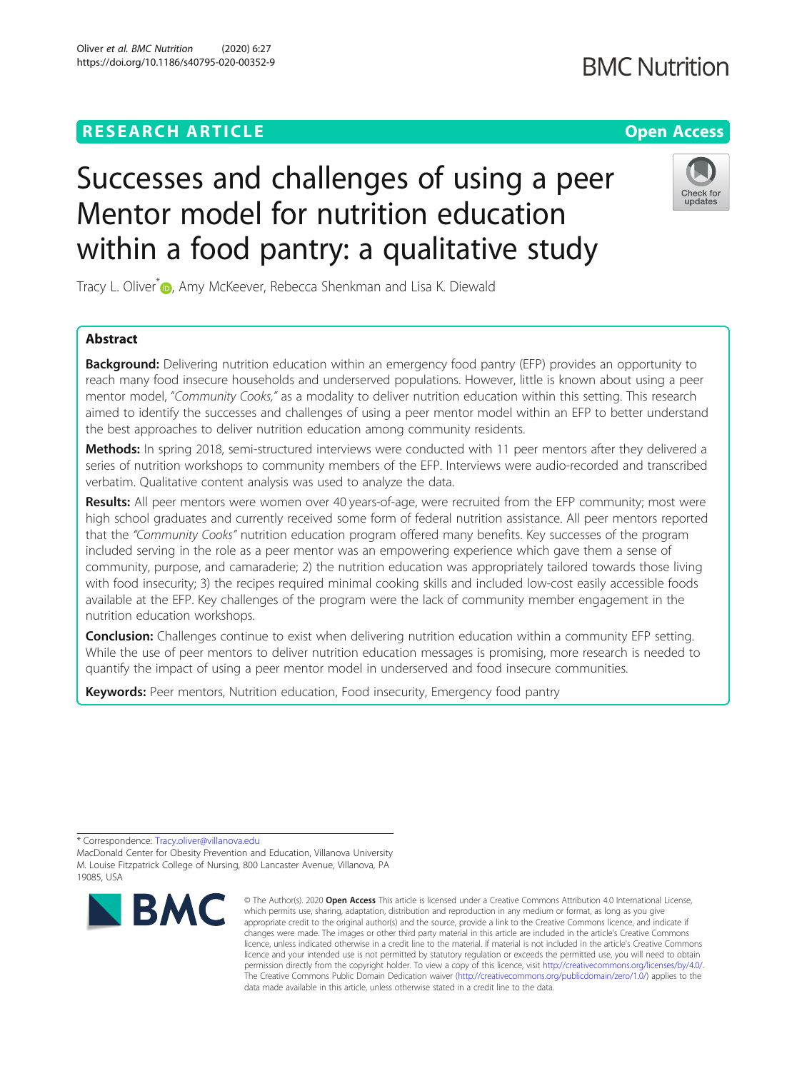## **RESEARCH ARTICLE Example 2014 12:30 The Contract of Contract ACCESS**

# **BMC Nutrition**

## Check for undates

Mentor model for nutrition education within a food pantry: a qualitative study

Successes and challenges of using a peer

Tracy L. Oliver<sup>\*</sup> <sub>(D</sub>[,](http://orcid.org/0000-0003-3809-1668) Amy McKeever, Rebecca Shenkman and Lisa K. Diewald

## Abstract

**Background:** Delivering nutrition education within an emergency food pantry (EFP) provides an opportunity to reach many food insecure households and underserved populations. However, little is known about using a peer mentor model, "Community Cooks," as a modality to deliver nutrition education within this setting. This research aimed to identify the successes and challenges of using a peer mentor model within an EFP to better understand the best approaches to deliver nutrition education among community residents.

Methods: In spring 2018, semi-structured interviews were conducted with 11 peer mentors after they delivered a series of nutrition workshops to community members of the EFP. Interviews were audio-recorded and transcribed verbatim. Qualitative content analysis was used to analyze the data.

Results: All peer mentors were women over 40 years-of-age, were recruited from the EFP community; most were high school graduates and currently received some form of federal nutrition assistance. All peer mentors reported that the "Community Cooks" nutrition education program offered many benefits. Key successes of the program included serving in the role as a peer mentor was an empowering experience which gave them a sense of community, purpose, and camaraderie; 2) the nutrition education was appropriately tailored towards those living with food insecurity; 3) the recipes required minimal cooking skills and included low-cost easily accessible foods available at the EFP. Key challenges of the program were the lack of community member engagement in the nutrition education workshops.

**Conclusion:** Challenges continue to exist when delivering nutrition education within a community EFP setting. While the use of peer mentors to deliver nutrition education messages is promising, more research is needed to quantify the impact of using a peer mentor model in underserved and food insecure communities.

Keywords: Peer mentors, Nutrition education, Food insecurity, Emergency food pantry

\* Correspondence: [Tracy.oliver@villanova.edu](mailto:Tracy.oliver@villanova.edu)

MacDonald Center for Obesity Prevention and Education, Villanova University M. Louise Fitzpatrick College of Nursing, 800 Lancaster Avenue, Villanova, PA 19085, USA



<sup>©</sup> The Author(s), 2020 **Open Access** This article is licensed under a Creative Commons Attribution 4.0 International License, which permits use, sharing, adaptation, distribution and reproduction in any medium or format, as long as you give appropriate credit to the original author(s) and the source, provide a link to the Creative Commons licence, and indicate if changes were made. The images or other third party material in this article are included in the article's Creative Commons licence, unless indicated otherwise in a credit line to the material. If material is not included in the article's Creative Commons licence and your intended use is not permitted by statutory regulation or exceeds the permitted use, you will need to obtain permission directly from the copyright holder. To view a copy of this licence, visit [http://creativecommons.org/licenses/by/4.0/.](http://creativecommons.org/licenses/by/4.0/) The Creative Commons Public Domain Dedication waiver [\(http://creativecommons.org/publicdomain/zero/1.0/](http://creativecommons.org/publicdomain/zero/1.0/)) applies to the data made available in this article, unless otherwise stated in a credit line to the data.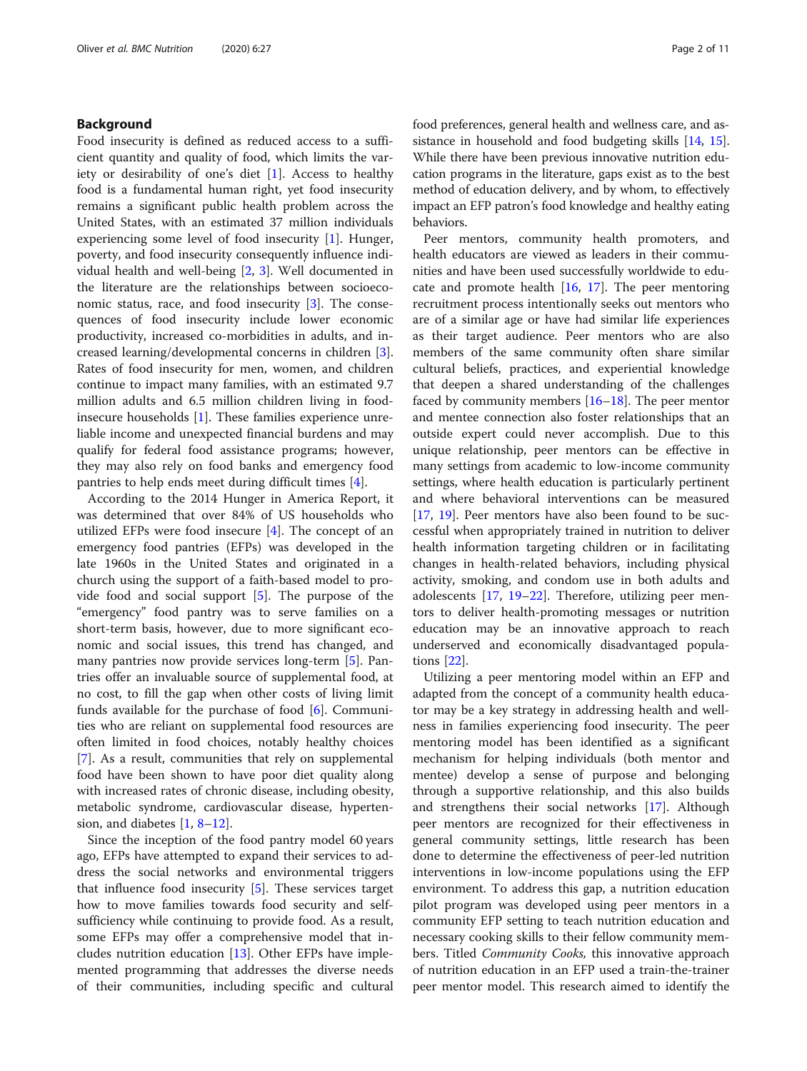## Background

Food insecurity is defined as reduced access to a sufficient quantity and quality of food, which limits the variety or desirability of one's diet  $[1]$  $[1]$ . Access to healthy food is a fundamental human right, yet food insecurity remains a significant public health problem across the United States, with an estimated 37 million individuals experiencing some level of food insecurity [[1\]](#page-9-0). Hunger, poverty, and food insecurity consequently influence individual health and well-being [[2,](#page-9-0) [3](#page-9-0)]. Well documented in the literature are the relationships between socioeconomic status, race, and food insecurity [[3\]](#page-9-0). The consequences of food insecurity include lower economic productivity, increased co-morbidities in adults, and increased learning/developmental concerns in children [\[3](#page-9-0)]. Rates of food insecurity for men, women, and children continue to impact many families, with an estimated 9.7 million adults and 6.5 million children living in foodinsecure households [[1\]](#page-9-0). These families experience unreliable income and unexpected financial burdens and may qualify for federal food assistance programs; however, they may also rely on food banks and emergency food pantries to help ends meet during difficult times [\[4](#page-9-0)].

According to the 2014 Hunger in America Report, it was determined that over 84% of US households who utilized EFPs were food insecure [[4\]](#page-9-0). The concept of an emergency food pantries (EFPs) was developed in the late 1960s in the United States and originated in a church using the support of a faith-based model to provide food and social support [[5\]](#page-9-0). The purpose of the "emergency" food pantry was to serve families on a short-term basis, however, due to more significant economic and social issues, this trend has changed, and many pantries now provide services long-term [[5\]](#page-9-0). Pantries offer an invaluable source of supplemental food, at no cost, to fill the gap when other costs of living limit funds available for the purchase of food [\[6](#page-9-0)]. Communities who are reliant on supplemental food resources are often limited in food choices, notably healthy choices [[7\]](#page-9-0). As a result, communities that rely on supplemental food have been shown to have poor diet quality along with increased rates of chronic disease, including obesity, metabolic syndrome, cardiovascular disease, hypertension, and diabetes [[1,](#page-9-0) [8](#page-9-0)–[12](#page-9-0)].

Since the inception of the food pantry model 60 years ago, EFPs have attempted to expand their services to address the social networks and environmental triggers that influence food insecurity [\[5](#page-9-0)]. These services target how to move families towards food security and selfsufficiency while continuing to provide food. As a result, some EFPs may offer a comprehensive model that includes nutrition education [\[13](#page-9-0)]. Other EFPs have implemented programming that addresses the diverse needs of their communities, including specific and cultural food preferences, general health and wellness care, and assistance in household and food budgeting skills [\[14,](#page-9-0) [15](#page-9-0)]. While there have been previous innovative nutrition education programs in the literature, gaps exist as to the best method of education delivery, and by whom, to effectively impact an EFP patron's food knowledge and healthy eating behaviors.

Peer mentors, community health promoters, and health educators are viewed as leaders in their communities and have been used successfully worldwide to educate and promote health [\[16,](#page-9-0) [17](#page-9-0)]. The peer mentoring recruitment process intentionally seeks out mentors who are of a similar age or have had similar life experiences as their target audience. Peer mentors who are also members of the same community often share similar cultural beliefs, practices, and experiential knowledge that deepen a shared understanding of the challenges faced by community members [[16](#page-9-0)–[18\]](#page-9-0). The peer mentor and mentee connection also foster relationships that an outside expert could never accomplish. Due to this unique relationship, peer mentors can be effective in many settings from academic to low-income community settings, where health education is particularly pertinent and where behavioral interventions can be measured [[17,](#page-9-0) [19\]](#page-9-0). Peer mentors have also been found to be successful when appropriately trained in nutrition to deliver health information targeting children or in facilitating changes in health-related behaviors, including physical activity, smoking, and condom use in both adults and adolescents [[17,](#page-9-0) [19](#page-9-0)–[22\]](#page-9-0). Therefore, utilizing peer mentors to deliver health-promoting messages or nutrition education may be an innovative approach to reach underserved and economically disadvantaged populations [[22\]](#page-9-0).

Utilizing a peer mentoring model within an EFP and adapted from the concept of a community health educator may be a key strategy in addressing health and wellness in families experiencing food insecurity. The peer mentoring model has been identified as a significant mechanism for helping individuals (both mentor and mentee) develop a sense of purpose and belonging through a supportive relationship, and this also builds and strengthens their social networks [\[17\]](#page-9-0). Although peer mentors are recognized for their effectiveness in general community settings, little research has been done to determine the effectiveness of peer-led nutrition interventions in low-income populations using the EFP environment. To address this gap, a nutrition education pilot program was developed using peer mentors in a community EFP setting to teach nutrition education and necessary cooking skills to their fellow community members. Titled Community Cooks, this innovative approach of nutrition education in an EFP used a train-the-trainer peer mentor model. This research aimed to identify the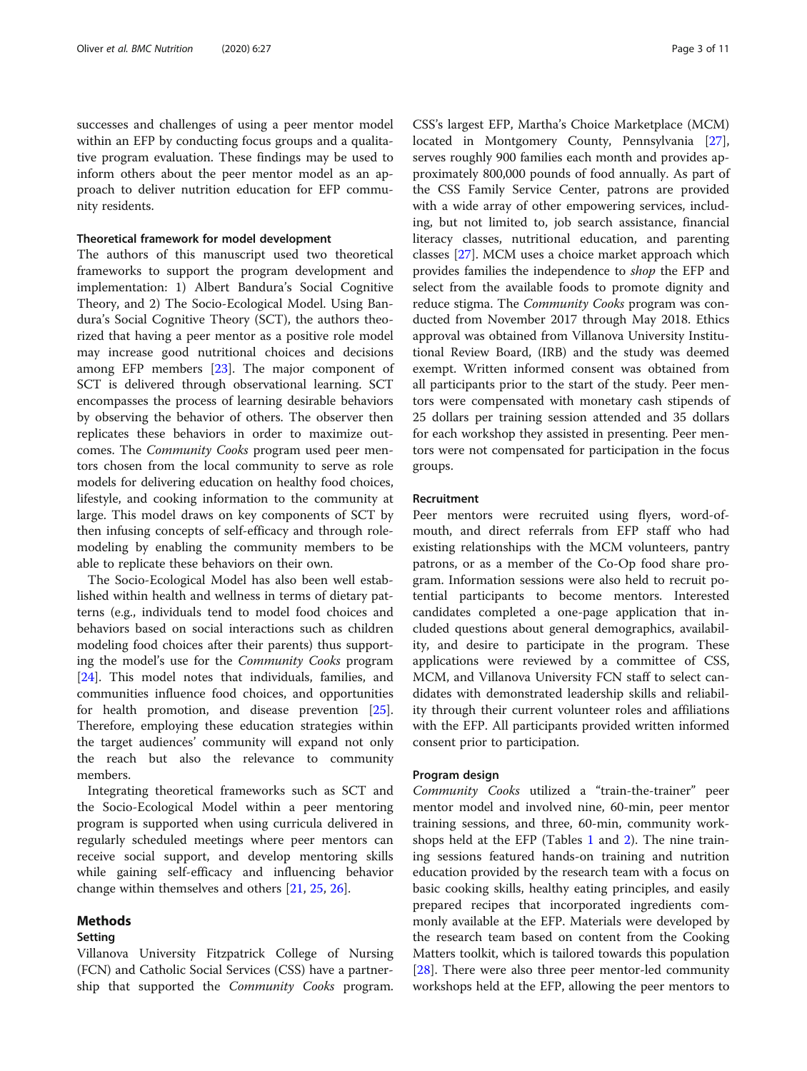successes and challenges of using a peer mentor model within an EFP by conducting focus groups and a qualitative program evaluation. These findings may be used to inform others about the peer mentor model as an approach to deliver nutrition education for EFP community residents.

## Theoretical framework for model development

The authors of this manuscript used two theoretical frameworks to support the program development and implementation: 1) Albert Bandura's Social Cognitive Theory, and 2) The Socio-Ecological Model. Using Bandura's Social Cognitive Theory (SCT), the authors theorized that having a peer mentor as a positive role model may increase good nutritional choices and decisions among EFP members [\[23](#page-9-0)]. The major component of SCT is delivered through observational learning. SCT encompasses the process of learning desirable behaviors by observing the behavior of others. The observer then replicates these behaviors in order to maximize outcomes. The Community Cooks program used peer mentors chosen from the local community to serve as role models for delivering education on healthy food choices, lifestyle, and cooking information to the community at large. This model draws on key components of SCT by then infusing concepts of self-efficacy and through rolemodeling by enabling the community members to be able to replicate these behaviors on their own.

The Socio-Ecological Model has also been well established within health and wellness in terms of dietary patterns (e.g., individuals tend to model food choices and behaviors based on social interactions such as children modeling food choices after their parents) thus supporting the model's use for the Community Cooks program [[24\]](#page-9-0). This model notes that individuals, families, and communities influence food choices, and opportunities for health promotion, and disease prevention [\[25](#page-9-0)]. Therefore, employing these education strategies within the target audiences' community will expand not only the reach but also the relevance to community members.

Integrating theoretical frameworks such as SCT and the Socio-Ecological Model within a peer mentoring program is supported when using curricula delivered in regularly scheduled meetings where peer mentors can receive social support, and develop mentoring skills while gaining self-efficacy and influencing behavior change within themselves and others [\[21,](#page-9-0) [25,](#page-9-0) [26\]](#page-10-0).

Villanova University Fitzpatrick College of Nursing (FCN) and Catholic Social Services (CSS) have a partnership that supported the Community Cooks program.

## Methods

## Setting

CSS's largest EFP, Martha's Choice Marketplace (MCM) located in Montgomery County, Pennsylvania [\[27](#page-10-0)], serves roughly 900 families each month and provides approximately 800,000 pounds of food annually. As part of the CSS Family Service Center, patrons are provided with a wide array of other empowering services, including, but not limited to, job search assistance, financial literacy classes, nutritional education, and parenting classes [\[27\]](#page-10-0). MCM uses a choice market approach which provides families the independence to shop the EFP and select from the available foods to promote dignity and reduce stigma. The Community Cooks program was conducted from November 2017 through May 2018. Ethics approval was obtained from Villanova University Institutional Review Board, (IRB) and the study was deemed exempt. Written informed consent was obtained from all participants prior to the start of the study. Peer mentors were compensated with monetary cash stipends of 25 dollars per training session attended and 35 dollars for each workshop they assisted in presenting. Peer mentors were not compensated for participation in the focus groups.

## Recruitment

Peer mentors were recruited using flyers, word-ofmouth, and direct referrals from EFP staff who had existing relationships with the MCM volunteers, pantry patrons, or as a member of the Co-Op food share program. Information sessions were also held to recruit potential participants to become mentors. Interested candidates completed a one-page application that included questions about general demographics, availability, and desire to participate in the program. These applications were reviewed by a committee of CSS, MCM, and Villanova University FCN staff to select candidates with demonstrated leadership skills and reliability through their current volunteer roles and affiliations with the EFP. All participants provided written informed consent prior to participation.

## Program design

Community Cooks utilized a "train-the-trainer" peer mentor model and involved nine, 60-min, peer mentor training sessions, and three, 60-min, community workshops held at the EFP (Tables [1](#page-3-0) and [2\)](#page-3-0). The nine training sessions featured hands-on training and nutrition education provided by the research team with a focus on basic cooking skills, healthy eating principles, and easily prepared recipes that incorporated ingredients commonly available at the EFP. Materials were developed by the research team based on content from the Cooking Matters toolkit, which is tailored towards this population [[28\]](#page-10-0). There were also three peer mentor-led community workshops held at the EFP, allowing the peer mentors to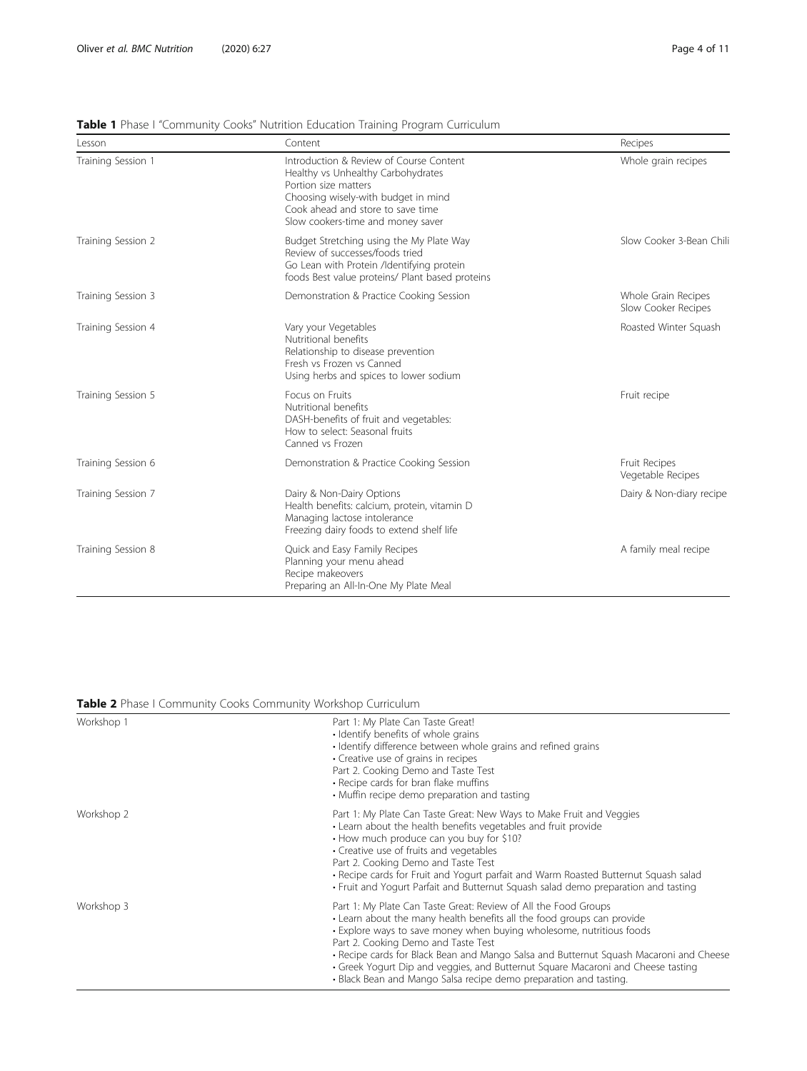<span id="page-3-0"></span>

| Table 1 Phase I "Community Cooks" Nutrition Education Training Program Curriculum |  |
|-----------------------------------------------------------------------------------|--|
|-----------------------------------------------------------------------------------|--|

| Lesson             | Content                                                                                                                                                                                                                | Recipes                                    |
|--------------------|------------------------------------------------------------------------------------------------------------------------------------------------------------------------------------------------------------------------|--------------------------------------------|
| Training Session 1 | Introduction & Review of Course Content<br>Healthy vs Unhealthy Carbohydrates<br>Portion size matters<br>Choosing wisely-with budget in mind<br>Cook ahead and store to save time<br>Slow cookers-time and money saver | Whole grain recipes                        |
| Training Session 2 | Budget Stretching using the My Plate Way<br>Review of successes/foods tried<br>Go Lean with Protein /Identifying protein<br>foods Best value proteins/ Plant based proteins                                            | Slow Cooker 3-Bean Chili                   |
| Training Session 3 | Demonstration & Practice Cooking Session                                                                                                                                                                               | Whole Grain Recipes<br>Slow Cooker Recipes |
| Training Session 4 | Vary your Vegetables<br>Nutritional benefits<br>Relationship to disease prevention<br>Fresh vs Frozen vs Canned<br>Using herbs and spices to lower sodium                                                              | Roasted Winter Squash                      |
| Training Session 5 | Focus on Fruits<br>Nutritional benefits<br>DASH-benefits of fruit and vegetables:<br>How to select: Seasonal fruits<br>Canned vs Frozen                                                                                | Fruit recipe                               |
| Training Session 6 | Demonstration & Practice Cooking Session                                                                                                                                                                               | <b>Fruit Recipes</b><br>Vegetable Recipes  |
| Training Session 7 | Dairy & Non-Dairy Options<br>Health benefits: calcium, protein, vitamin D<br>Managing lactose intolerance<br>Freezing dairy foods to extend shelf life                                                                 | Dairy & Non-diary recipe                   |
| Training Session 8 | Quick and Easy Family Recipes<br>Planning your menu ahead<br>Recipe makeovers<br>Preparing an All-In-One My Plate Meal                                                                                                 | A family meal recipe                       |

## Table 2 Phase I Community Cooks Community Workshop Curriculum

| Workshop 1 | Part 1: My Plate Can Taste Great!<br>· Identify benefits of whole grains<br>· Identify difference between whole grains and refined grains<br>• Creative use of grains in recipes<br>Part 2. Cooking Demo and Taste Test<br>• Recipe cards for bran flake muffins<br>• Muffin recipe demo preparation and tasting                                                                                                                                                                                            |
|------------|-------------------------------------------------------------------------------------------------------------------------------------------------------------------------------------------------------------------------------------------------------------------------------------------------------------------------------------------------------------------------------------------------------------------------------------------------------------------------------------------------------------|
| Workshop 2 | Part 1: My Plate Can Taste Great: New Ways to Make Fruit and Veggies<br>• Learn about the health benefits vegetables and fruit provide<br>. How much produce can you buy for \$10?<br>• Creative use of fruits and vegetables<br>Part 2. Cooking Demo and Taste Test<br>• Recipe cards for Fruit and Yogurt parfait and Warm Roasted Butternut Squash salad<br>• Fruit and Yogurt Parfait and Butternut Squash salad demo preparation and tasting                                                           |
| Workshop 3 | Part 1: My Plate Can Taste Great: Review of All the Food Groups<br>• Learn about the many health benefits all the food groups can provide<br>• Explore ways to save money when buying wholesome, nutritious foods<br>Part 2. Cooking Demo and Taste Test<br>• Recipe cards for Black Bean and Mango Salsa and Butternut Squash Macaroni and Cheese<br>• Greek Yogurt Dip and veggies, and Butternut Square Macaroni and Cheese tasting<br>• Black Bean and Mango Salsa recipe demo preparation and tasting. |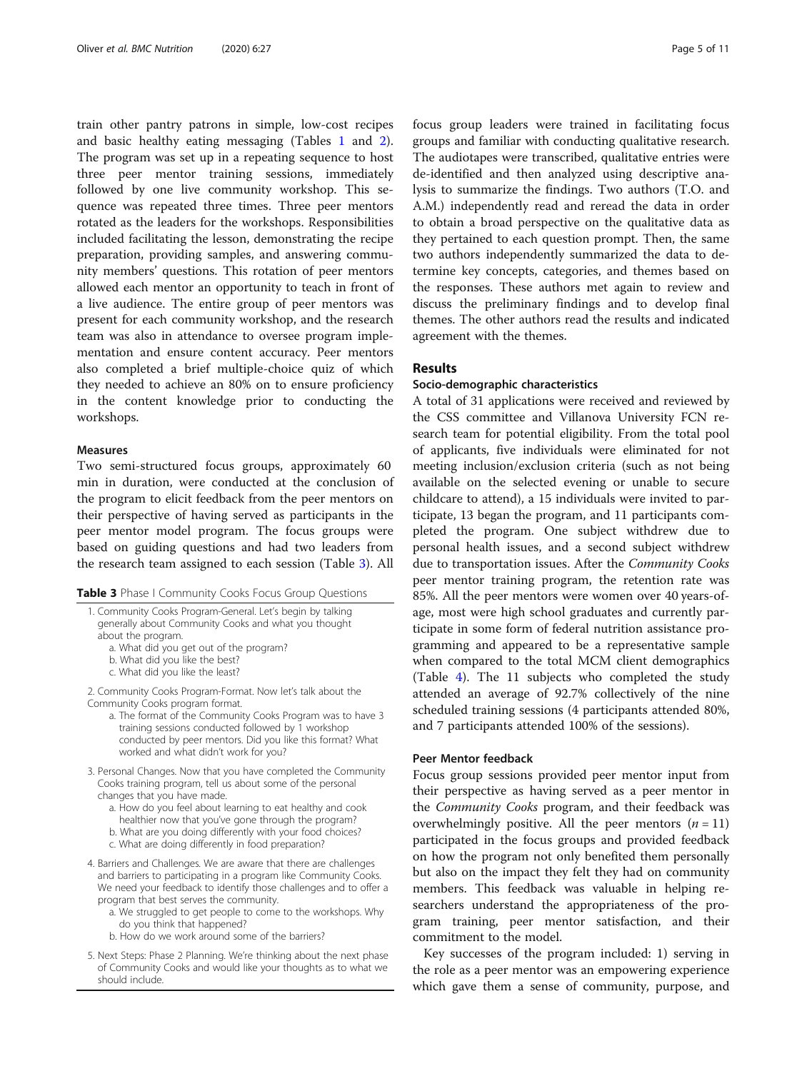train other pantry patrons in simple, low-cost recipes and basic healthy eating messaging (Tables [1](#page-3-0) and [2](#page-3-0)). The program was set up in a repeating sequence to host three peer mentor training sessions, immediately followed by one live community workshop. This sequence was repeated three times. Three peer mentors rotated as the leaders for the workshops. Responsibilities included facilitating the lesson, demonstrating the recipe preparation, providing samples, and answering community members' questions. This rotation of peer mentors allowed each mentor an opportunity to teach in front of a live audience. The entire group of peer mentors was present for each community workshop, and the research team was also in attendance to oversee program implementation and ensure content accuracy. Peer mentors also completed a brief multiple-choice quiz of which they needed to achieve an 80% on to ensure proficiency in the content knowledge prior to conducting the workshops.

## Measures

Two semi-structured focus groups, approximately 60 min in duration, were conducted at the conclusion of the program to elicit feedback from the peer mentors on their perspective of having served as participants in the peer mentor model program. The focus groups were based on guiding questions and had two leaders from the research team assigned to each session (Table 3). All

Table 3 Phase I Community Cooks Focus Group Questions

- 1. Community Cooks Program-General. Let's begin by talking generally about Community Cooks and what you thought
	- about the program.
	- a. What did you get out of the program?
	- b. What did you like the best?
	- c. What did you like the least?

2. Community Cooks Program-Format. Now let's talk about the Community Cooks program format.

- a. The format of the Community Cooks Program was to have 3 training sessions conducted followed by 1 workshop conducted by peer mentors. Did you like this format? What worked and what didn't work for you?
- 3. Personal Changes. Now that you have completed the Community Cooks training program, tell us about some of the personal changes that you have made.
	- a. How do you feel about learning to eat healthy and cook healthier now that you've gone through the program?
	- b. What are you doing differently with your food choices?
	- c. What are doing differently in food preparation?
- 4. Barriers and Challenges. We are aware that there are challenges and barriers to participating in a program like Community Cooks. We need your feedback to identify those challenges and to offer a program that best serves the community.
	- a. We struggled to get people to come to the workshops. Why do you think that happened?
	- b. How do we work around some of the barriers?
- 5. Next Steps: Phase 2 Planning. We're thinking about the next phase of Community Cooks and would like your thoughts as to what we should include.

focus group leaders were trained in facilitating focus groups and familiar with conducting qualitative research. The audiotapes were transcribed, qualitative entries were de-identified and then analyzed using descriptive analysis to summarize the findings. Two authors (T.O. and A.M.) independently read and reread the data in order to obtain a broad perspective on the qualitative data as they pertained to each question prompt. Then, the same two authors independently summarized the data to determine key concepts, categories, and themes based on the responses. These authors met again to review and discuss the preliminary findings and to develop final themes. The other authors read the results and indicated agreement with the themes.

## Results

## Socio-demographic characteristics

A total of 31 applications were received and reviewed by the CSS committee and Villanova University FCN research team for potential eligibility. From the total pool of applicants, five individuals were eliminated for not meeting inclusion/exclusion criteria (such as not being available on the selected evening or unable to secure childcare to attend), a 15 individuals were invited to participate, 13 began the program, and 11 participants completed the program. One subject withdrew due to personal health issues, and a second subject withdrew due to transportation issues. After the Community Cooks peer mentor training program, the retention rate was 85%. All the peer mentors were women over 40 years-ofage, most were high school graduates and currently participate in some form of federal nutrition assistance programming and appeared to be a representative sample when compared to the total MCM client demographics (Table [4](#page-5-0)). The 11 subjects who completed the study attended an average of 92.7% collectively of the nine scheduled training sessions (4 participants attended 80%, and 7 participants attended 100% of the sessions).

## Peer Mentor feedback

Focus group sessions provided peer mentor input from their perspective as having served as a peer mentor in the Community Cooks program, and their feedback was overwhelmingly positive. All the peer mentors  $(n = 11)$ participated in the focus groups and provided feedback on how the program not only benefited them personally but also on the impact they felt they had on community members. This feedback was valuable in helping researchers understand the appropriateness of the program training, peer mentor satisfaction, and their commitment to the model.

Key successes of the program included: 1) serving in the role as a peer mentor was an empowering experience which gave them a sense of community, purpose, and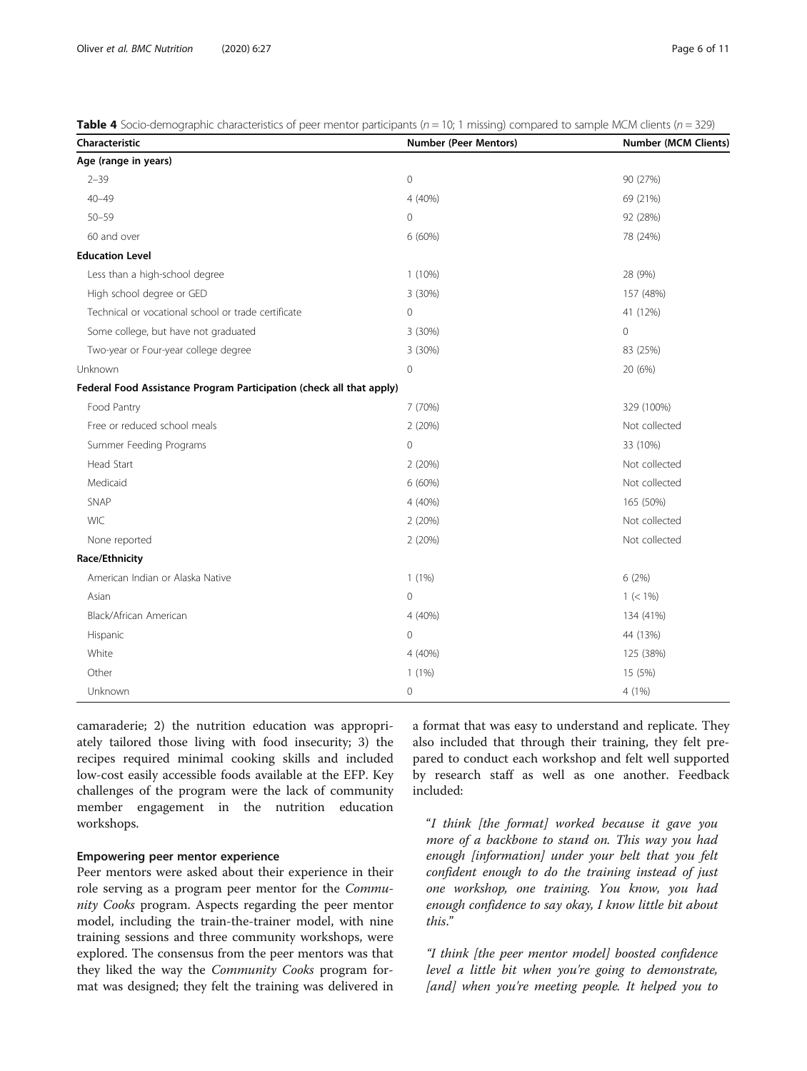<span id="page-5-0"></span>**Table 4** Socio-demographic characteristics of peer mentor participants ( $n = 10$ ; 1 missing) compared to sample MCM clients ( $n = 329$ )

| Characteristic                                                       | <b>Number (Peer Mentors)</b> | <b>Number (MCM Clients)</b> |
|----------------------------------------------------------------------|------------------------------|-----------------------------|
| Age (range in years)                                                 |                              |                             |
| $2 - 39$                                                             | $\mathbb O$                  | 90 (27%)                    |
| $40 - 49$                                                            | 4 (40%)                      | 69 (21%)                    |
| $50 - 59$                                                            | 0                            | 92 (28%)                    |
| 60 and over                                                          | 6 (60%)                      | 78 (24%)                    |
| <b>Education Level</b>                                               |                              |                             |
| Less than a high-school degree                                       | $1(10\%)$                    | 28 (9%)                     |
| High school degree or GED                                            | 3 (30%)                      | 157 (48%)                   |
| Technical or vocational school or trade certificate                  | $\mathbf 0$                  | 41 (12%)                    |
| Some college, but have not graduated                                 | 3 (30%)                      | $\mathbf 0$                 |
| Two-year or Four-year college degree                                 | 3(30%)                       | 83 (25%)                    |
| Unknown                                                              | $\mathbf{0}$                 | 20 (6%)                     |
| Federal Food Assistance Program Participation (check all that apply) |                              |                             |
| Food Pantry                                                          | 7 (70%)                      | 329 (100%)                  |
| Free or reduced school meals                                         | 2(20%)                       | Not collected               |
| Summer Feeding Programs                                              | 0                            | 33 (10%)                    |
| Head Start                                                           | 2(20%)                       | Not collected               |
| Medicaid                                                             | 6 (60%)                      | Not collected               |
| SNAP                                                                 | 4 (40%)                      | 165 (50%)                   |
| <b>WIC</b>                                                           | 2(20%)                       | Not collected               |
| None reported                                                        | 2(20%)                       | Not collected               |
| Race/Ethnicity                                                       |                              |                             |
| American Indian or Alaska Native                                     | $1(1\%)$                     | 6(2%)                       |
| Asian                                                                | $\circ$                      | $1 (< 1\%)$                 |
| Black/African American                                               | 4 (40%)                      | 134 (41%)                   |
| Hispanic                                                             | $\mathbf 0$                  | 44 (13%)                    |
| White                                                                | 4 (40%)                      | 125 (38%)                   |
| Other                                                                | $1(1\%)$                     | 15 (5%)                     |
| Unknown                                                              | $\circ$                      | 4 (1%)                      |

camaraderie; 2) the nutrition education was appropriately tailored those living with food insecurity; 3) the recipes required minimal cooking skills and included low-cost easily accessible foods available at the EFP. Key challenges of the program were the lack of community member engagement in the nutrition education workshops.

## Empowering peer mentor experience

Peer mentors were asked about their experience in their role serving as a program peer mentor for the *Commu*nity Cooks program. Aspects regarding the peer mentor model, including the train-the-trainer model, with nine training sessions and three community workshops, were explored. The consensus from the peer mentors was that they liked the way the Community Cooks program format was designed; they felt the training was delivered in a format that was easy to understand and replicate. They also included that through their training, they felt prepared to conduct each workshop and felt well supported by research staff as well as one another. Feedback included:

"I think [the format] worked because it gave you more of a backbone to stand on. This way you had enough [information] under your belt that you felt confident enough to do the training instead of just one workshop, one training. You know, you had enough confidence to say okay, I know little bit about this."

"I think [the peer mentor model] boosted confidence level a little bit when you're going to demonstrate, [and] when you're meeting people. It helped you to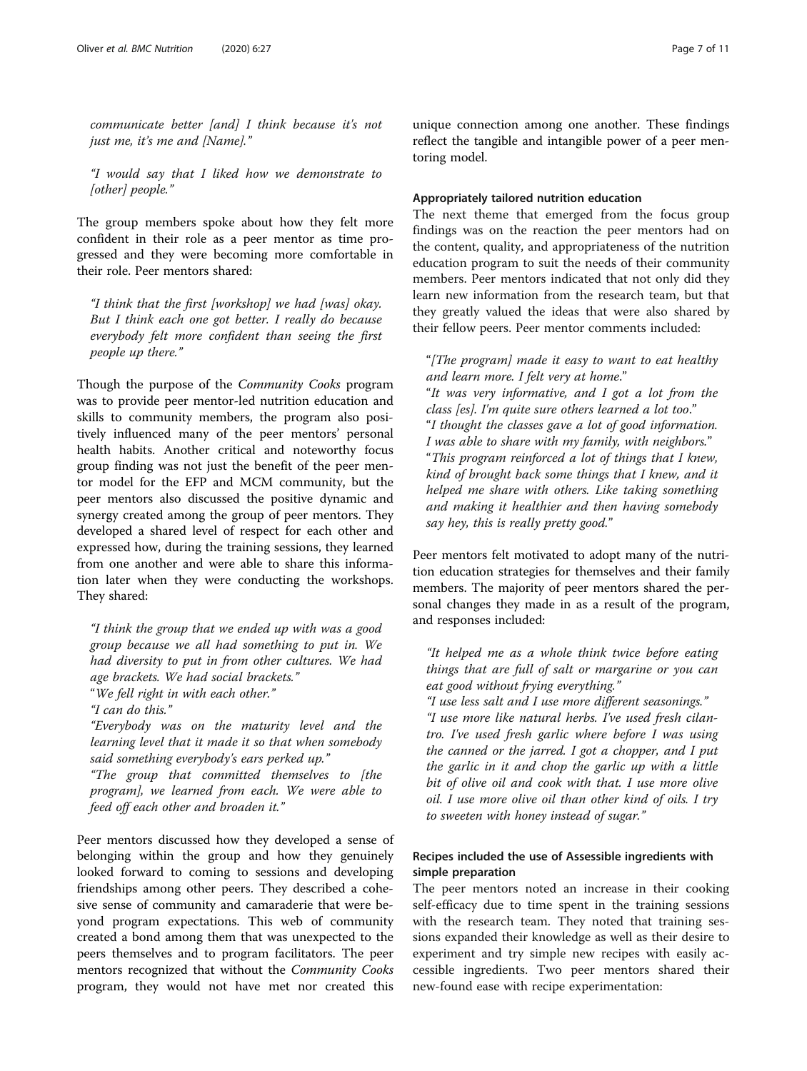communicate better [and] I think because it's not just me, it's me and [Name]."

"I would say that I liked how we demonstrate to [other] people."

The group members spoke about how they felt more confident in their role as a peer mentor as time progressed and they were becoming more comfortable in their role. Peer mentors shared:

"I think that the first [workshop] we had [was] okay. But I think each one got better. I really do because everybody felt more confident than seeing the first people up there."

Though the purpose of the *Community Cooks* program was to provide peer mentor-led nutrition education and skills to community members, the program also positively influenced many of the peer mentors' personal health habits. Another critical and noteworthy focus group finding was not just the benefit of the peer mentor model for the EFP and MCM community, but the peer mentors also discussed the positive dynamic and synergy created among the group of peer mentors. They developed a shared level of respect for each other and expressed how, during the training sessions, they learned from one another and were able to share this information later when they were conducting the workshops. They shared:

"I think the group that we ended up with was a good group because we all had something to put in. We had diversity to put in from other cultures. We had age brackets. We had social brackets."

"We fell right in with each other."

"I can do this."

"Everybody was on the maturity level and the learning level that it made it so that when somebody said something everybody's ears perked up."

"The group that committed themselves to [the program], we learned from each. We were able to feed off each other and broaden it."

Peer mentors discussed how they developed a sense of belonging within the group and how they genuinely looked forward to coming to sessions and developing friendships among other peers. They described a cohesive sense of community and camaraderie that were beyond program expectations. This web of community created a bond among them that was unexpected to the peers themselves and to program facilitators. The peer mentors recognized that without the Community Cooks program, they would not have met nor created this

unique connection among one another. These findings reflect the tangible and intangible power of a peer mentoring model.

## Appropriately tailored nutrition education

The next theme that emerged from the focus group findings was on the reaction the peer mentors had on the content, quality, and appropriateness of the nutrition education program to suit the needs of their community members. Peer mentors indicated that not only did they learn new information from the research team, but that they greatly valued the ideas that were also shared by their fellow peers. Peer mentor comments included:

"[The program] made it easy to want to eat healthy and learn more. I felt very at home." "It was very informative, and I got a lot from the class [es]. I'm quite sure others learned a lot too." "I thought the classes gave a lot of good information. I was able to share with my family, with neighbors." "This program reinforced a lot of things that I knew, kind of brought back some things that I knew, and it helped me share with others. Like taking something and making it healthier and then having somebody say hey, this is really pretty good."

Peer mentors felt motivated to adopt many of the nutrition education strategies for themselves and their family members. The majority of peer mentors shared the personal changes they made in as a result of the program, and responses included:

"It helped me as a whole think twice before eating things that are full of salt or margarine or you can eat good without frying everything."

"I use less salt and I use more different seasonings." "I use more like natural herbs. I've used fresh cilantro. I've used fresh garlic where before I was using the canned or the jarred. I got a chopper, and I put the garlic in it and chop the garlic up with a little bit of olive oil and cook with that. I use more olive oil. I use more olive oil than other kind of oils. I try to sweeten with honey instead of sugar."

## Recipes included the use of Assessible ingredients with simple preparation

The peer mentors noted an increase in their cooking self-efficacy due to time spent in the training sessions with the research team. They noted that training sessions expanded their knowledge as well as their desire to experiment and try simple new recipes with easily accessible ingredients. Two peer mentors shared their new-found ease with recipe experimentation: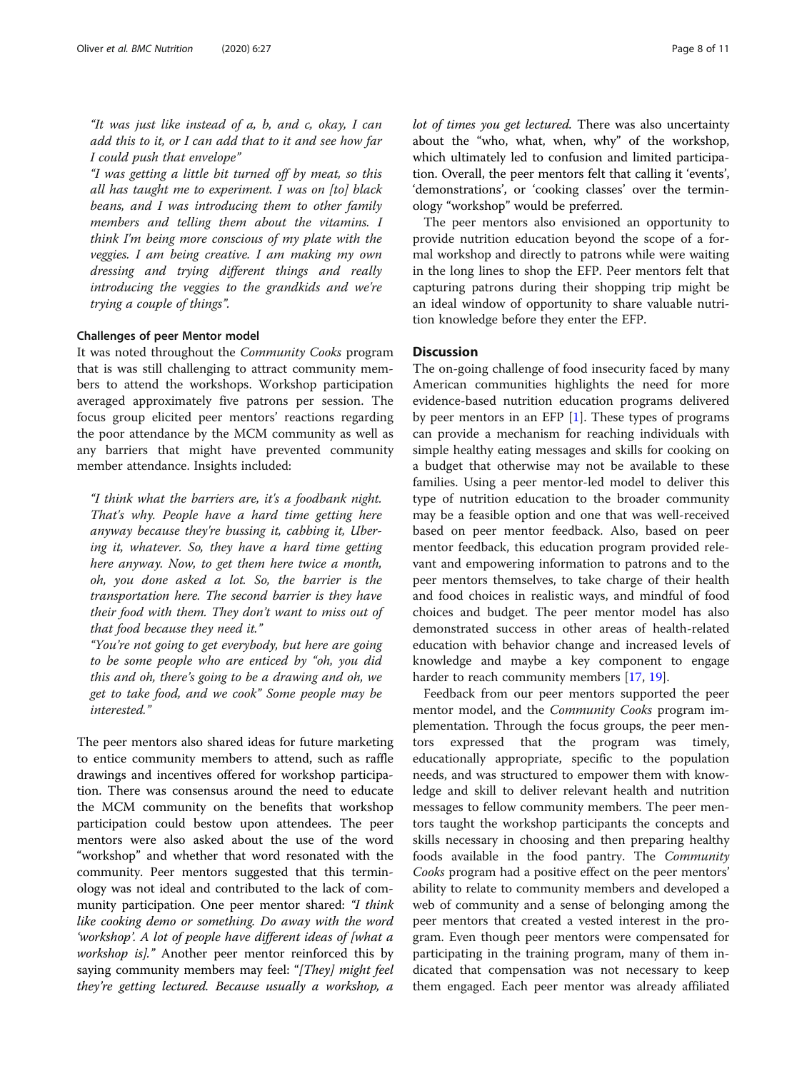"It was just like instead of a, b, and c, okay, I can add this to it, or I can add that to it and see how far I could push that envelope"

"I was getting a little bit turned off by meat, so this all has taught me to experiment. I was on [to] black beans, and I was introducing them to other family members and telling them about the vitamins. I think I'm being more conscious of my plate with the veggies. I am being creative. I am making my own dressing and trying different things and really introducing the veggies to the grandkids and we're trying a couple of things".

## Challenges of peer Mentor model

It was noted throughout the Community Cooks program that is was still challenging to attract community members to attend the workshops. Workshop participation averaged approximately five patrons per session. The focus group elicited peer mentors' reactions regarding the poor attendance by the MCM community as well as any barriers that might have prevented community member attendance. Insights included:

"I think what the barriers are, it's a foodbank night. That's why. People have a hard time getting here anyway because they're bussing it, cabbing it, Ubering it, whatever. So, they have a hard time getting here anyway. Now, to get them here twice a month, oh, you done asked a lot. So, the barrier is the transportation here. The second barrier is they have their food with them. They don't want to miss out of that food because they need it."

"You're not going to get everybody, but here are going to be some people who are enticed by "oh, you did this and oh, there's going to be a drawing and oh, we get to take food, and we cook" Some people may be interested."

The peer mentors also shared ideas for future marketing to entice community members to attend, such as raffle drawings and incentives offered for workshop participation. There was consensus around the need to educate the MCM community on the benefits that workshop participation could bestow upon attendees. The peer mentors were also asked about the use of the word "workshop" and whether that word resonated with the community. Peer mentors suggested that this terminology was not ideal and contributed to the lack of community participation. One peer mentor shared: "I think like cooking demo or something. Do away with the word 'workshop'. A lot of people have different ideas of [what a workshop is]." Another peer mentor reinforced this by saying community members may feel: "[They] might feel they're getting lectured. Because usually a workshop, a lot of times you get lectured. There was also uncertainty about the "who, what, when, why" of the workshop, which ultimately led to confusion and limited participation. Overall, the peer mentors felt that calling it 'events', 'demonstrations', or 'cooking classes' over the terminology "workshop" would be preferred.

The peer mentors also envisioned an opportunity to provide nutrition education beyond the scope of a formal workshop and directly to patrons while were waiting in the long lines to shop the EFP. Peer mentors felt that capturing patrons during their shopping trip might be an ideal window of opportunity to share valuable nutrition knowledge before they enter the EFP.

## **Discussion**

The on-going challenge of food insecurity faced by many American communities highlights the need for more evidence-based nutrition education programs delivered by peer mentors in an EFP  $[1]$  $[1]$ . These types of programs can provide a mechanism for reaching individuals with simple healthy eating messages and skills for cooking on a budget that otherwise may not be available to these families. Using a peer mentor-led model to deliver this type of nutrition education to the broader community may be a feasible option and one that was well-received based on peer mentor feedback. Also, based on peer mentor feedback, this education program provided relevant and empowering information to patrons and to the peer mentors themselves, to take charge of their health and food choices in realistic ways, and mindful of food choices and budget. The peer mentor model has also demonstrated success in other areas of health-related education with behavior change and increased levels of knowledge and maybe a key component to engage harder to reach community members [\[17](#page-9-0), [19\]](#page-9-0).

Feedback from our peer mentors supported the peer mentor model, and the Community Cooks program implementation. Through the focus groups, the peer mentors expressed that the program was timely, educationally appropriate, specific to the population needs, and was structured to empower them with knowledge and skill to deliver relevant health and nutrition messages to fellow community members. The peer mentors taught the workshop participants the concepts and skills necessary in choosing and then preparing healthy foods available in the food pantry. The Community Cooks program had a positive effect on the peer mentors' ability to relate to community members and developed a web of community and a sense of belonging among the peer mentors that created a vested interest in the program. Even though peer mentors were compensated for participating in the training program, many of them indicated that compensation was not necessary to keep them engaged. Each peer mentor was already affiliated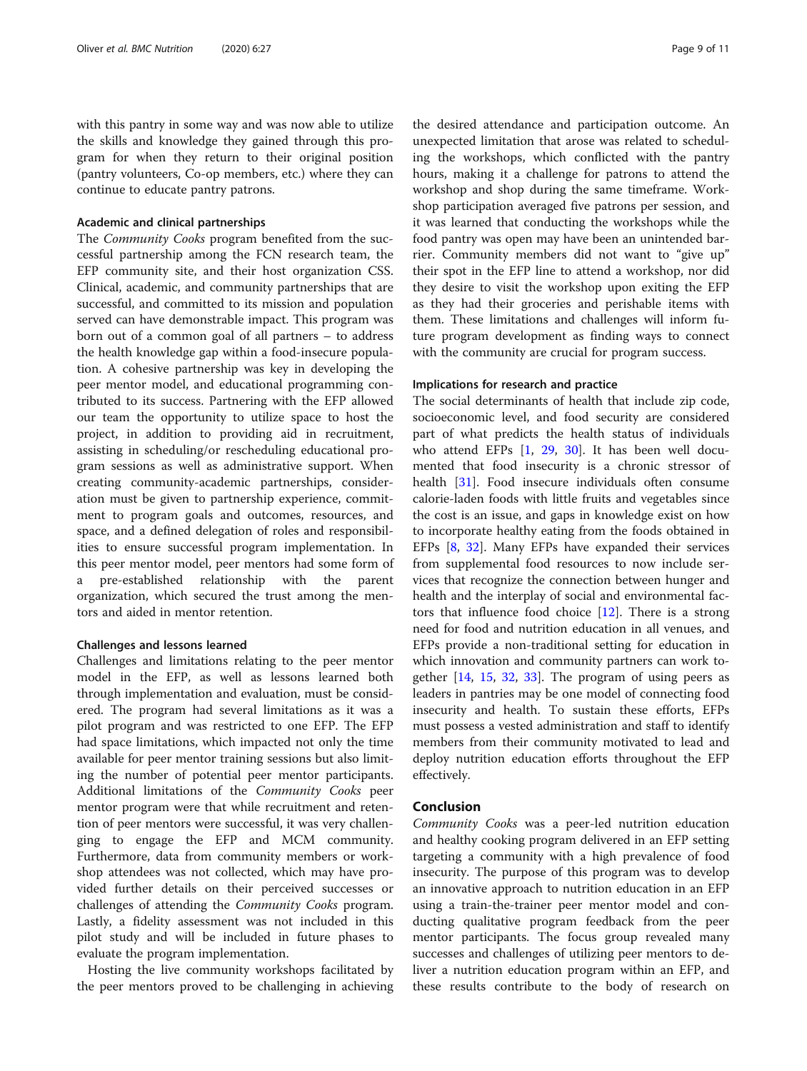with this pantry in some way and was now able to utilize the skills and knowledge they gained through this program for when they return to their original position (pantry volunteers, Co-op members, etc.) where they can continue to educate pantry patrons.

## Academic and clinical partnerships

The Community Cooks program benefited from the successful partnership among the FCN research team, the EFP community site, and their host organization CSS. Clinical, academic, and community partnerships that are successful, and committed to its mission and population served can have demonstrable impact. This program was born out of a common goal of all partners – to address the health knowledge gap within a food-insecure population. A cohesive partnership was key in developing the peer mentor model, and educational programming contributed to its success. Partnering with the EFP allowed our team the opportunity to utilize space to host the project, in addition to providing aid in recruitment, assisting in scheduling/or rescheduling educational program sessions as well as administrative support. When creating community-academic partnerships, consideration must be given to partnership experience, commitment to program goals and outcomes, resources, and space, and a defined delegation of roles and responsibilities to ensure successful program implementation. In this peer mentor model, peer mentors had some form of a pre-established relationship with the parent organization, which secured the trust among the mentors and aided in mentor retention.

## Challenges and lessons learned

Challenges and limitations relating to the peer mentor model in the EFP, as well as lessons learned both through implementation and evaluation, must be considered. The program had several limitations as it was a pilot program and was restricted to one EFP. The EFP had space limitations, which impacted not only the time available for peer mentor training sessions but also limiting the number of potential peer mentor participants. Additional limitations of the Community Cooks peer mentor program were that while recruitment and retention of peer mentors were successful, it was very challenging to engage the EFP and MCM community. Furthermore, data from community members or workshop attendees was not collected, which may have provided further details on their perceived successes or challenges of attending the Community Cooks program. Lastly, a fidelity assessment was not included in this pilot study and will be included in future phases to evaluate the program implementation.

Hosting the live community workshops facilitated by the peer mentors proved to be challenging in achieving

the desired attendance and participation outcome. An unexpected limitation that arose was related to scheduling the workshops, which conflicted with the pantry hours, making it a challenge for patrons to attend the workshop and shop during the same timeframe. Workshop participation averaged five patrons per session, and it was learned that conducting the workshops while the food pantry was open may have been an unintended barrier. Community members did not want to "give up" their spot in the EFP line to attend a workshop, nor did they desire to visit the workshop upon exiting the EFP as they had their groceries and perishable items with them. These limitations and challenges will inform future program development as finding ways to connect with the community are crucial for program success.

## Implications for research and practice

The social determinants of health that include zip code, socioeconomic level, and food security are considered part of what predicts the health status of individuals who attend EFPs [\[1](#page-9-0), [29](#page-10-0), [30\]](#page-10-0). It has been well documented that food insecurity is a chronic stressor of health [[31\]](#page-10-0). Food insecure individuals often consume calorie-laden foods with little fruits and vegetables since the cost is an issue, and gaps in knowledge exist on how to incorporate healthy eating from the foods obtained in EFPs [\[8](#page-9-0), [32\]](#page-10-0). Many EFPs have expanded their services from supplemental food resources to now include services that recognize the connection between hunger and health and the interplay of social and environmental factors that influence food choice [\[12](#page-9-0)]. There is a strong need for food and nutrition education in all venues, and EFPs provide a non-traditional setting for education in which innovation and community partners can work together [[14,](#page-9-0) [15](#page-9-0), [32](#page-10-0), [33\]](#page-10-0). The program of using peers as leaders in pantries may be one model of connecting food insecurity and health. To sustain these efforts, EFPs must possess a vested administration and staff to identify members from their community motivated to lead and deploy nutrition education efforts throughout the EFP effectively.

## Conclusion

Community Cooks was a peer-led nutrition education and healthy cooking program delivered in an EFP setting targeting a community with a high prevalence of food insecurity. The purpose of this program was to develop an innovative approach to nutrition education in an EFP using a train-the-trainer peer mentor model and conducting qualitative program feedback from the peer mentor participants. The focus group revealed many successes and challenges of utilizing peer mentors to deliver a nutrition education program within an EFP, and these results contribute to the body of research on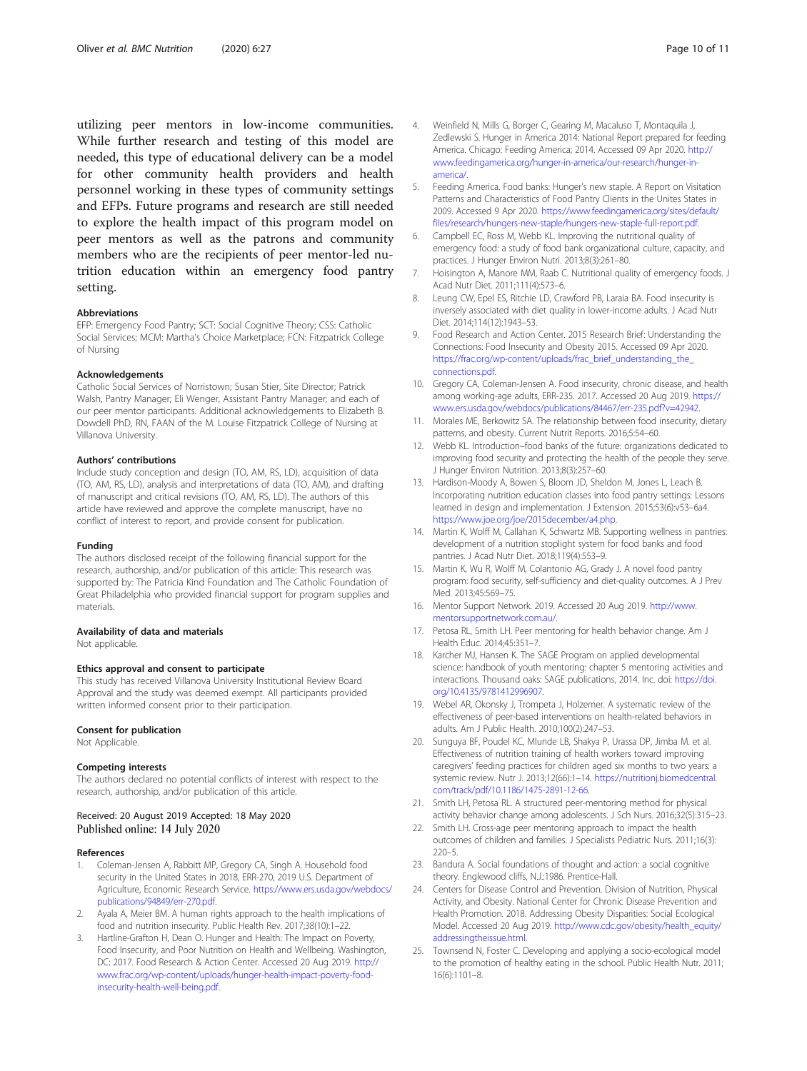<span id="page-9-0"></span>utilizing peer mentors in low-income communities. While further research and testing of this model are needed, this type of educational delivery can be a model for other community health providers and health personnel working in these types of community settings and EFPs. Future programs and research are still needed to explore the health impact of this program model on peer mentors as well as the patrons and community members who are the recipients of peer mentor-led nutrition education within an emergency food pantry setting.

#### Abbreviations

EFP: Emergency Food Pantry; SCT: Social Cognitive Theory; CSS: Catholic Social Services; MCM: Martha's Choice Marketplace; FCN: Fitzpatrick College of Nursing

## Acknowledgements

Catholic Social Services of Norristown; Susan Stier, Site Director; Patrick Walsh, Pantry Manager; Eli Wenger, Assistant Pantry Manager; and each of our peer mentor participants. Additional acknowledgements to Elizabeth B. Dowdell PhD, RN, FAAN of the M. Louise Fitzpatrick College of Nursing at Villanova University.

#### Authors' contributions

Include study conception and design (TO, AM, RS, LD), acquisition of data (TO, AM, RS, LD), analysis and interpretations of data (TO, AM), and drafting of manuscript and critical revisions (TO, AM, RS, LD). The authors of this article have reviewed and approve the complete manuscript, have no conflict of interest to report, and provide consent for publication.

#### Funding

The authors disclosed receipt of the following financial support for the research, authorship, and/or publication of this article: This research was supported by: The Patricia Kind Foundation and The Catholic Foundation of Great Philadelphia who provided financial support for program supplies and materials.

#### Availability of data and materials

Not applicable.

## Ethics approval and consent to participate

This study has received Villanova University Institutional Review Board Approval and the study was deemed exempt. All participants provided written informed consent prior to their participation.

#### Consent for publication

Not Applicable.

## Competing interests

The authors declared no potential conflicts of interest with respect to the research, authorship, and/or publication of this article.

## Received: 20 August 2019 Accepted: 18 May 2020 Published online: 14 July 2020

## References

- 1. Coleman-Jensen A, Rabbitt MP, Gregory CA, Singh A. Household food security in the United States in 2018, ERR-270, 2019 U.S. Department of Agriculture, Economic Research Service. [https://www.ers.usda.gov/webdocs/](https://www.ers.usda.gov/webdocs/publications/94849/err-270.pdf) [publications/94849/err-270.pdf.](https://www.ers.usda.gov/webdocs/publications/94849/err-270.pdf)
- 2. Ayala A, Meier BM. A human rights approach to the health implications of food and nutrition insecurity. Public Health Rev. 2017;38(10):1–22.
- Hartline-Grafton H, Dean O. Hunger and Health: The Impact on Poverty, Food Insecurity, and Poor Nutrition on Health and Wellbeing. Washington, DC: 2017. Food Research & Action Center. Accessed 20 Aug 2019. [http://](http://www.frac.org/wp-content/uploads/hunger-health-impact-poverty-food-insecurity-health-well-being.pdf) [www.frac.org/wp-content/uploads/hunger-health-impact-poverty-food](http://www.frac.org/wp-content/uploads/hunger-health-impact-poverty-food-insecurity-health-well-being.pdf)[insecurity-health-well-being.pdf](http://www.frac.org/wp-content/uploads/hunger-health-impact-poverty-food-insecurity-health-well-being.pdf).
- 4. Weinfield N, Mills G, Borger C, Gearing M, Macaluso T, Montaquila J, Zedlewski S. Hunger in America 2014: National Report prepared for feeding America. Chicago: Feeding America; 2014. Accessed 09 Apr 2020. [http://](http://www.feedingamerica.org/hunger-in-america/our-research/hunger-in-america/) [www.feedingamerica.org/hunger-in-america/our-research/hunger-in](http://www.feedingamerica.org/hunger-in-america/our-research/hunger-in-america/)[america/](http://www.feedingamerica.org/hunger-in-america/our-research/hunger-in-america/).
- 5. Feeding America. Food banks: Hunger's new staple. A Report on Visitation Patterns and Characteristics of Food Pantry Clients in the Unites States in 2009. Accessed 9 Apr 2020. [https://www.feedingamerica.org/sites/default/](https://www.feedingamerica.org/sites/default/files/research/hungers-new-staple/hungers-new-staple-full-report.pdf) [files/research/hungers-new-staple/hungers-new-staple-full-report.pdf](https://www.feedingamerica.org/sites/default/files/research/hungers-new-staple/hungers-new-staple-full-report.pdf).
- 6. Campbell EC, Ross M, Webb KL. Improving the nutritional quality of emergency food: a study of food bank organizational culture, capacity, and practices. J Hunger Environ Nutri. 2013;8(3):261–80.
- 7. Hoisington A, Manore MM, Raab C. Nutritional quality of emergency foods. J Acad Nutr Diet. 2011;111(4):573–6.
- 8. Leung CW, Epel ES, Ritchie LD, Crawford PB, Laraia BA. Food insecurity is inversely associated with diet quality in lower-income adults. J Acad Nutr Diet. 2014;114(12):1943–53.
- 9. Food Research and Action Center. 2015 Research Brief: Understanding the Connections: Food Insecurity and Obesity 2015. Accessed 09 Apr 2020. [https://frac.org/wp-content/uploads/frac\\_brief\\_understanding\\_the\\_](https://frac.org/wp-content/uploads/frac_brief_understanding_the_connections.pdf) [connections.pdf](https://frac.org/wp-content/uploads/frac_brief_understanding_the_connections.pdf).
- 10. Gregory CA, Coleman-Jensen A. Food insecurity, chronic disease, and health among working-age adults, ERR-235. 2017. Accessed 20 Aug 2019. [https://](https://www.ers.usda.gov/webdocs/publications/84467/err-235.pdf?v=42942) [www.ers.usda.gov/webdocs/publications/84467/err-235.pdf?v=42942.](https://www.ers.usda.gov/webdocs/publications/84467/err-235.pdf?v=42942)
- 11. Morales ME, Berkowitz SA. The relationship between food insecurity, dietary patterns, and obesity. Current Nutrit Reports. 2016;5:54–60.
- 12. Webb KL. Introduction–food banks of the future: organizations dedicated to improving food security and protecting the health of the people they serve. J Hunger Environ Nutrition. 2013;8(3):257–60.
- 13. Hardison-Moody A, Bowen S, Bloom JD, Sheldon M, Jones L, Leach B. Incorporating nutrition education classes into food pantry settings: Lessons learned in design and implementation. J Extension. 2015;53(6):v53–6a4. <https://www.joe.org/joe/2015december/a4.php>.
- 14. Martin K, Wolff M, Callahan K, Schwartz MB. Supporting wellness in pantries: development of a nutrition stoplight system for food banks and food pantries. J Acad Nutr Diet. 2018;119(4):553–9.
- 15. Martin K, Wu R, Wolff M, Colantonio AG, Grady J. A novel food pantry program: food security, self-sufficiency and diet-quality outcomes. A J Prev Med. 2013;45:569–75.
- 16. Mentor Support Network. 2019. Accessed 20 Aug 2019. [http://www.](http://www.mentorsupportnetwork.com.au/) [mentorsupportnetwork.com.au/](http://www.mentorsupportnetwork.com.au/).
- 17. Petosa RL, Smith LH. Peer mentoring for health behavior change. Am J Health Educ. 2014;45:351–7.
- 18. Karcher MJ, Hansen K. The SAGE Program on applied developmental science: handbook of youth mentoring: chapter 5 mentoring activities and interactions. Thousand oaks: SAGE publications, 2014. Inc. doi: [https://doi.](https://doi.org/10.4135/9781412996907) [org/10.4135/9781412996907](https://doi.org/10.4135/9781412996907).
- 19. Webel AR, Okonsky J, Trompeta J, Holzemer. A systematic review of the effectiveness of peer-based interventions on health-related behaviors in adults. Am J Public Health. 2010;100(2):247–53.
- 20. Sunguya BF, Poudel KC, Mlunde LB, Shakya P, Urassa DP, Jimba M. et al. Effectiveness of nutrition training of health workers toward improving caregivers' feeding practices for children aged six months to two years: a systemic review. Nutr J. 2013;12(66):1–14. [https://nutritionj.biomedcentral.](https://nutritionj.biomedcentral.com/track/pdf/10.1186/1475-2891-12-66) [com/track/pdf/10.1186/1475-2891-12-66](https://nutritionj.biomedcentral.com/track/pdf/10.1186/1475-2891-12-66).
- 21. Smith LH, Petosa RL. A structured peer-mentoring method for physical activity behavior change among adolescents. J Sch Nurs. 2016;32(5):315–23.
- 22. Smith LH. Cross-age peer mentoring approach to impact the health outcomes of children and families. J Specialists Pediatric Nurs. 2011;16(3): 220–5.
- 23. Bandura A. Social foundations of thought and action: a social cognitive theory. Englewood cliffs, N.J.:1986. Prentice-Hall.
- 24. Centers for Disease Control and Prevention. Division of Nutrition, Physical Activity, and Obesity. National Center for Chronic Disease Prevention and Health Promotion. 2018. Addressing Obesity Disparities: Social Ecological Model. Accessed 20 Aug 2019. [http://www.cdc.gov/obesity/health\\_equity/](http://www.cdc.gov/obesity/health_equity/addressingtheissue.html) [addressingtheissue.html.](http://www.cdc.gov/obesity/health_equity/addressingtheissue.html)
- 25. Townsend N, Foster C. Developing and applying a socio-ecological model to the promotion of healthy eating in the school. Public Health Nutr. 2011; 16(6):1101–8.